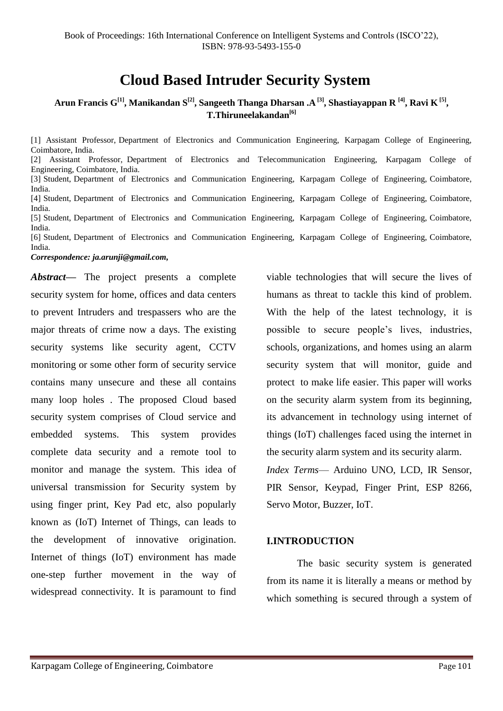# **Cloud Based Intruder Security System**

## **Arun Francis G[1], Manikandan S[2] , Sangeeth Thanga Dharsan .A [3] , Shastiayappan R [4], Ravi K [5] , T.Thiruneelakandan[6]**

[1] Assistant Professor, Department of Electronics and Communication Engineering, Karpagam College of Engineering, Coimbatore, India. [2] Assistant Professor, Department of Electronics and Telecommunication Engineering, Karpagam College of Engineering, Coimbatore, India. [3] Student, Department of Electronics and Communication Engineering, Karpagam College of Engineering, Coimbatore, India. [4] Student, Department of Electronics and Communication Engineering, Karpagam College of Engineering, Coimbatore, India. [5] Student, Department of Electronics and Communication Engineering, Karpagam College of Engineering, Coimbatore, India. [6] Student, Department of Electronics and Communication Engineering, Karpagam College of Engineering, Coimbatore, India. *Correspondence: ja.arunji@gmail.com,*

*Abstract***—** The project presents a complete security system for home, offices and data centers to prevent Intruders and trespassers who are the major threats of crime now a days. The existing security systems like security agent, CCTV monitoring or some other form of security service contains many unsecure and these all contains many loop holes . The proposed Cloud based security system comprises of Cloud service and embedded systems. This system provides complete data security and a remote tool to monitor and manage the system. This idea of universal transmission for Security system by using finger print, Key Pad etc, also popularly known as (IoT) Internet of Things, can leads to the development of innovative origination. Internet of things (IoT) environment has made one-step further movement in the way of widespread connectivity. It is paramount to find

viable technologies that will secure the lives of humans as threat to tackle this kind of problem. With the help of the latest technology, it is possible to secure people's lives, industries, schools, organizations, and homes using an alarm security system that will monitor, guide and protect to make life easier. This paper will works on the security alarm system from its beginning, its advancement in technology using internet of things (IoT) challenges faced using the internet in the security alarm system and its security alarm. *Index Terms*— Arduino UNO, LCD, IR Sensor, PIR Sensor, Keypad, Finger Print, ESP 8266, Servo Motor, Buzzer, IoT.

#### **I.INTRODUCTION**

The basic security system is generated from its name it is literally a means or method by which something is secured through a system of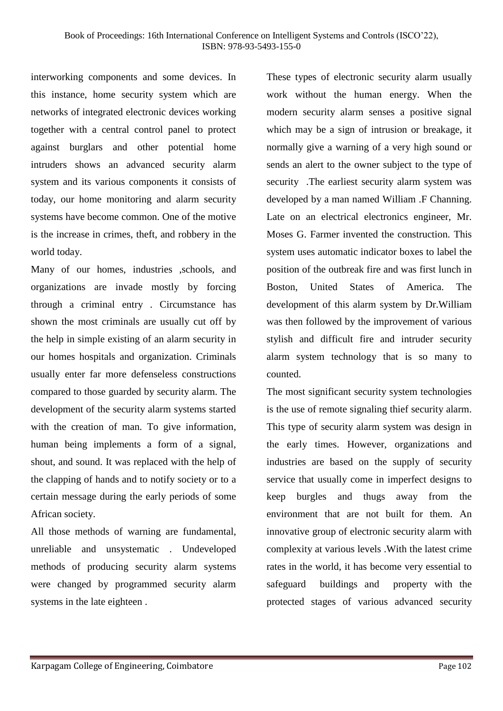interworking components and some devices. In this instance, home security system which are networks of integrated electronic devices working together with a central control panel to protect against burglars and other potential home intruders shows an advanced security alarm system and its various components it consists of today, our home monitoring and alarm security systems have become common. One of the motive is the increase in crimes, theft, and robbery in the world today.

Many of our homes, industries ,schools, and organizations are invade mostly by forcing through a criminal entry . Circumstance has shown the most criminals are usually cut off by the help in simple existing of an alarm security in our homes hospitals and organization. Criminals usually enter far more defenseless constructions compared to those guarded by security alarm. The development of the security alarm systems started with the creation of man. To give information, human being implements a form of a signal, shout, and sound. It was replaced with the help of the clapping of hands and to notify society or to a certain message during the early periods of some African society.

All those methods of warning are fundamental, unreliable and unsystematic . Undeveloped methods of producing security alarm systems were changed by programmed security alarm systems in the late eighteen .

These types of electronic security alarm usually work without the human energy. When the modern security alarm senses a positive signal which may be a sign of intrusion or breakage, it normally give a warning of a very high sound or sends an alert to the owner subject to the type of security .The earliest security alarm system was developed by a man named William .F Channing. Late on an electrical electronics engineer, Mr. Moses G. Farmer invented the construction. This system uses automatic indicator boxes to label the position of the outbreak fire and was first lunch in Boston, United States of America. The development of this alarm system by Dr.William was then followed by the improvement of various stylish and difficult fire and intruder security alarm system technology that is so many to counted.

The most significant security system technologies is the use of remote signaling thief security alarm. This type of security alarm system was design in the early times. However, organizations and industries are based on the supply of security service that usually come in imperfect designs to keep burgles and thugs away from the environment that are not built for them. An innovative group of electronic security alarm with complexity at various levels .With the latest crime rates in the world, it has become very essential to safeguard buildings and property with the protected stages of various advanced security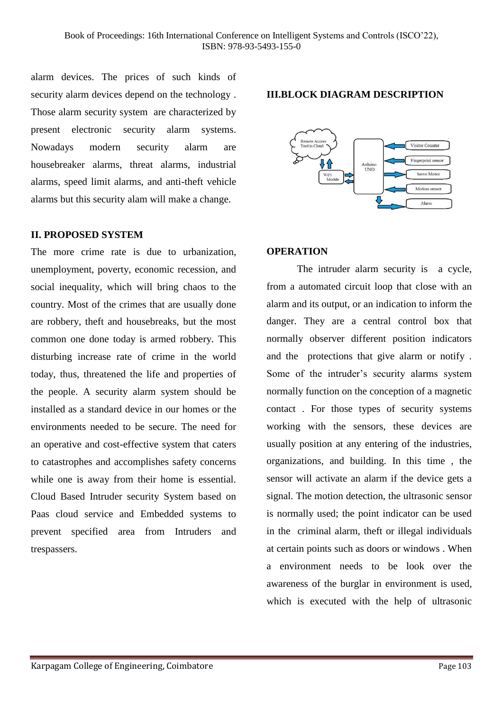alarm devices. The prices of such kinds of security alarm devices depend on the technology . Those alarm security system are characterized by present electronic security alarm systems. Nowadays modern security alarm are housebreaker alarms, threat alarms, industrial alarms, speed limit alarms, and anti-theft vehicle alarms but this security alam will make a change.

#### **II. PROPOSED SYSTEM**

The more crime rate is due to urbanization, unemployment, poverty, economic recession, and social inequality, which will bring chaos to the country. Most of the crimes that are usually done are robbery, theft and housebreaks, but the most common one done today is armed robbery. This disturbing increase rate of crime in the world today, thus, threatened the life and properties of the people. A security alarm system should be installed as a standard device in our homes or the environments needed to be secure. The need for an operative and cost-effective system that caters to catastrophes and accomplishes safety concerns while one is away from their home is essential. Cloud Based Intruder security System based on Paas cloud service and Embedded systems to prevent specified area from Intruders and trespassers.

#### **III.BLOCK DIAGRAM DESCRIPTION**



## **OPERATION**

The intruder alarm security is a cycle, from a automated circuit loop that close with an alarm and its output, or an indication to inform the danger. They are a central control box that normally observer different position indicators and the protections that give alarm or notify . Some of the intruder's security alarms system normally function on the conception of a magnetic contact . For those types of security systems working with the sensors, these devices are usually position at any entering of the industries, organizations, and building. In this time , the sensor will activate an alarm if the device gets a signal. The motion detection, the ultrasonic sensor is normally used; the point indicator can be used in the criminal alarm, theft or illegal individuals at certain points such as doors or windows . When a environment needs to be look over the awareness of the burglar in environment is used, which is executed with the help of ultrasonic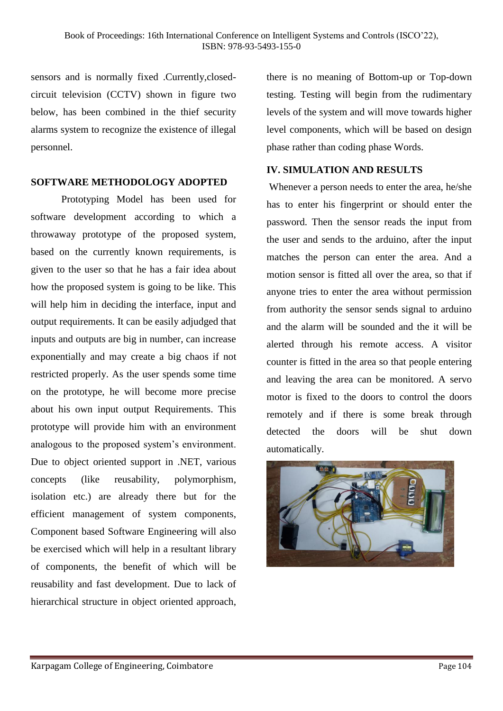sensors and is normally fixed .Currently,closedcircuit television (CCTV) shown in figure two below, has been combined in the thief security alarms system to recognize the existence of illegal personnel.

## **SOFTWARE METHODOLOGY ADOPTED**

Prototyping Model has been used for software development according to which a throwaway prototype of the proposed system, based on the currently known requirements, is given to the user so that he has a fair idea about how the proposed system is going to be like. This will help him in deciding the interface, input and output requirements. It can be easily adjudged that inputs and outputs are big in number, can increase exponentially and may create a big chaos if not restricted properly. As the user spends some time on the prototype, he will become more precise about his own input output Requirements. This prototype will provide him with an environment analogous to the proposed system's environment. Due to object oriented support in .NET, various concepts (like reusability, polymorphism, isolation etc.) are already there but for the efficient management of system components, Component based Software Engineering will also be exercised which will help in a resultant library of components, the benefit of which will be reusability and fast development. Due to lack of hierarchical structure in object oriented approach,

there is no meaning of Bottom-up or Top-down testing. Testing will begin from the rudimentary levels of the system and will move towards higher level components, which will be based on design phase rather than coding phase Words.

## **IV. SIMULATION AND RESULTS**

Whenever a person needs to enter the area, he/she has to enter his fingerprint or should enter the password. Then the sensor reads the input from the user and sends to the arduino, after the input matches the person can enter the area. And a motion sensor is fitted all over the area, so that if anyone tries to enter the area without permission from authority the sensor sends signal to arduino and the alarm will be sounded and the it will be alerted through his remote access. A visitor counter is fitted in the area so that people entering and leaving the area can be monitored. A servo motor is fixed to the doors to control the doors remotely and if there is some break through detected the doors will be shut down automatically.

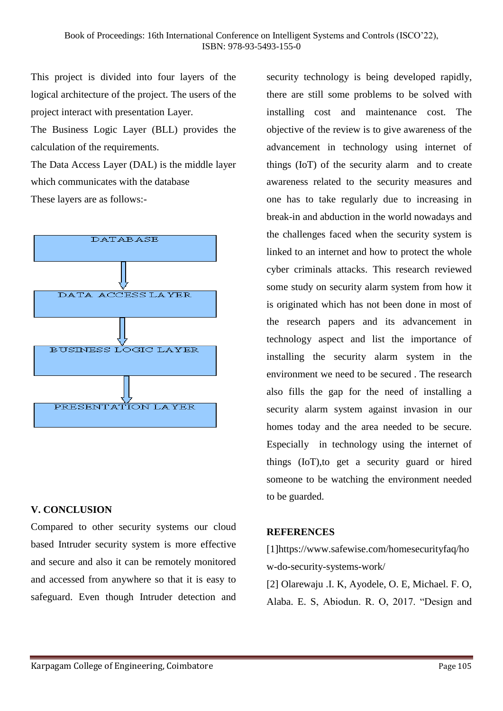This project is divided into four layers of the logical architecture of the project. The users of the project interact with presentation Layer.

The Business Logic Layer (BLL) provides the calculation of the requirements.

The Data Access Layer (DAL) is the middle layer which communicates with the database These layers are as follows:-



# **V. CONCLUSION**

Compared to other security systems our cloud based Intruder security system is more effective and secure and also it can be remotely monitored and accessed from anywhere so that it is easy to safeguard. Even though Intruder detection and security technology is being developed rapidly, there are still some problems to be solved with installing cost and maintenance cost. The objective of the review is to give awareness of the advancement in technology using internet of things (IoT) of the security alarm and to create awareness related to the security measures and one has to take regularly due to increasing in break-in and abduction in the world nowadays and the challenges faced when the security system is linked to an internet and how to protect the whole cyber criminals attacks. This research reviewed some study on security alarm system from how it is originated which has not been done in most of the research papers and its advancement in technology aspect and list the importance of installing the security alarm system in the environment we need to be secured . The research also fills the gap for the need of installing a security alarm system against invasion in our homes today and the area needed to be secure. Especially in technology using the internet of things (IoT),to get a security guard or hired someone to be watching the environment needed to be guarded.

# **REFERENCES**

[1]https://www.safewise.com/homesecurityfaq/ho w-do-security-systems-work/

[2] Olarewaju .I. K, Ayodele, O. E, Michael. F. O, Alaba. E. S, Abiodun. R. O, 2017. "Design and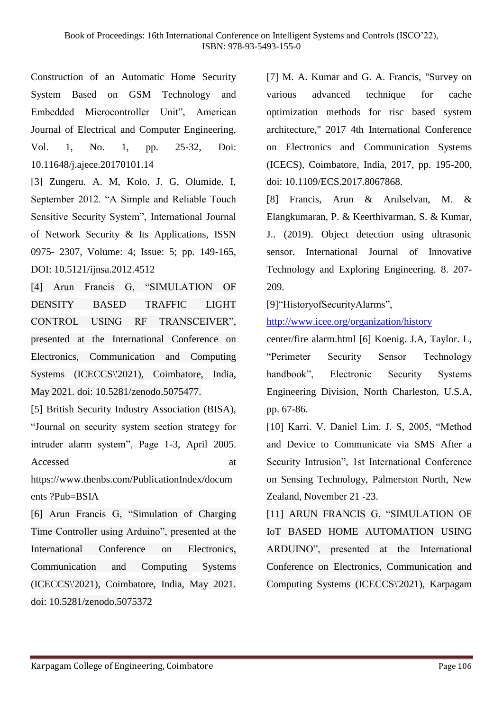Construction of an Automatic Home Security System Based on GSM Technology and Embedded Microcontroller Unit", American Journal of Electrical and Computer Engineering, Vol. 1, No. 1, pp. 25-32, Doi: 10.11648/j.ajece.20170101.14

[3] Zungeru. A. M, Kolo. J. G, Olumide. I, September 2012. "A Simple and Reliable Touch Sensitive Security System", International Journal of Network Security & Its Applications, ISSN 0975- 2307, Volume: 4; Issue: 5; pp. 149-165, DOI: 10.5121/ijnsa.2012.4512

[4] Arun Francis G, "SIMULATION OF DENSITY BASED TRAFFIC LIGHT CONTROL USING RF TRANSCEIVER", presented at the International Conference on Electronics, Communication and Computing Systems (ICECCS\'2021), Coimbatore, India, May 2021. doi: 10.5281/zenodo.5075477.

[5] British Security Industry Association (BISA), "Journal on security system section strategy for intruder alarm system", Page 1-3, April 2005. Accessed at a strategies at a strategies at a strategies at a strategies at a strategies at a strategies at a strategies at a strategies at a strategies at a strategies at a strategies at a strategies at a strategies at a

https://www.thenbs.com/PublicationIndex/docum ents ?Pub=BSIA

[6] Arun Francis G, "Simulation of Charging Time Controller using Arduino", presented at the International Conference on Electronics, Communication and Computing Systems (ICECCS\'2021), Coimbatore, India, May 2021. doi: 10.5281/zenodo.5075372

[7] M. A. Kumar and G. A. Francis, "Survey on various advanced technique for cache optimization methods for risc based system architecture," 2017 4th International Conference on Electronics and Communication Systems (ICECS), Coimbatore, India, 2017, pp. 195-200, doi: 10.1109/ECS.2017.8067868.

[8] Francis, Arun & Arulselvan, M. & Elangkumaran, P. & Keerthivarman, S. & Kumar, J.. (2019). Object detection using ultrasonic sensor. International Journal of Innovative Technology and Exploring Engineering. 8. 207- 209.

[9]"HistoryofSecurityAlarms",

<http://www.icee.org/organization/history>

center/fire alarm.html [6] Koenig. J.A, Taylor. L, "Perimeter Security Sensor Technology handbook", Electronic Security Systems Engineering Division, North Charleston, U.S.A, pp. 67-86.

[10] Karri. V, Daniel Lim. J. S, 2005, "Method and Device to Communicate via SMS After a Security Intrusion", 1st International Conference on Sensing Technology, Palmerston North, New Zealand, November 21 -23.

[11] ARUN FRANCIS G, "SIMULATION OF IoT BASED HOME AUTOMATION USING ARDUINO", presented at the International Conference on Electronics, Communication and Computing Systems (ICECCS\'2021), Karpagam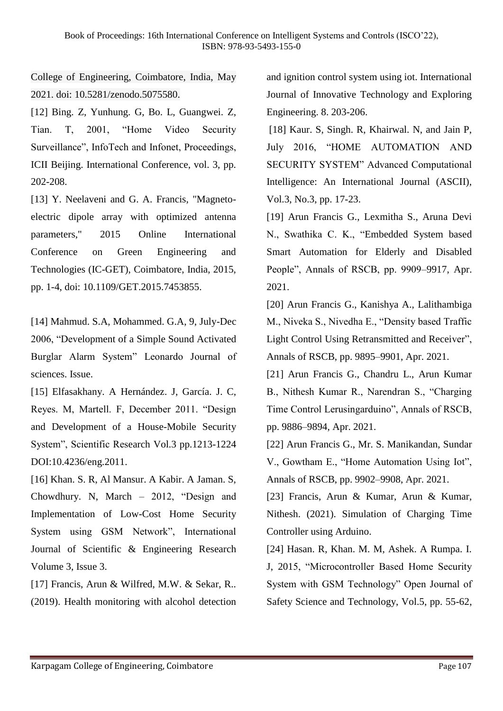College of Engineering, Coimbatore, India, May 2021. doi: 10.5281/zenodo.5075580.

[12] Bing. Z, Yunhung. G, Bo. L, Guangwei. Z, Tian. T, 2001, "Home Video Security Surveillance", InfoTech and Infonet, Proceedings, ICII Beijing. International Conference, vol. 3, pp. 202-208.

[13] Y. Neelaveni and G. A. Francis, "Magnetoelectric dipole array with optimized antenna parameters," 2015 Online International Conference on Green Engineering and Technologies (IC-GET), Coimbatore, India, 2015, pp. 1-4, doi: 10.1109/GET.2015.7453855.

[14] Mahmud. S.A, Mohammed. G.A, 9, July-Dec 2006, "Development of a Simple Sound Activated Burglar Alarm System" Leonardo Journal of sciences. Issue.

[15] Elfasakhany. A Hernández. J, García. J. C, Reyes. M, Martell. F, December 2011. "Design and Development of a House-Mobile Security System", Scientific Research Vol.3 pp.1213-1224 DOI:10.4236/eng.2011.

[16] Khan. S. R, Al Mansur. A Kabir. A Jaman. S, Chowdhury. N, March – 2012, "Design and Implementation of Low-Cost Home Security System using GSM Network", International Journal of Scientific & Engineering Research Volume 3, Issue 3.

[17] Francis, Arun & Wilfred, M.W. & Sekar, R.. (2019). Health monitoring with alcohol detection and ignition control system using iot. International Journal of Innovative Technology and Exploring Engineering. 8. 203-206.

[18] Kaur. S, Singh. R, Khairwal. N, and Jain P, July 2016, "HOME AUTOMATION AND SECURITY SYSTEM" Advanced Computational Intelligence: An International Journal (ASCII), Vol.3, No.3, pp. 17-23.

[19] Arun Francis G., Lexmitha S., Aruna Devi N., Swathika C. K., "Embedded System based Smart Automation for Elderly and Disabled People", Annals of RSCB, pp. 9909–9917, Apr. 2021.

[20] Arun Francis G., Kanishya A., Lalithambiga M., Niveka S., Nivedha E., "Density based Traffic Light Control Using Retransmitted and Receiver", Annals of RSCB, pp. 9895–9901, Apr. 2021.

[21] Arun Francis G., Chandru L., Arun Kumar B., Nithesh Kumar R., Narendran S., "Charging Time Control Lerusingarduino", Annals of RSCB, pp. 9886–9894, Apr. 2021.

[22] Arun Francis G., Mr. S. Manikandan, Sundar V., Gowtham E., "Home Automation Using Iot", Annals of RSCB, pp. 9902–9908, Apr. 2021.

[23] Francis, Arun & Kumar, Arun & Kumar, Nithesh. (2021). Simulation of Charging Time Controller using Arduino.

[24] Hasan. R, Khan. M. M, Ashek. A Rumpa. I. J, 2015, "Microcontroller Based Home Security System with GSM Technology" Open Journal of Safety Science and Technology, Vol.5, pp. 55-62,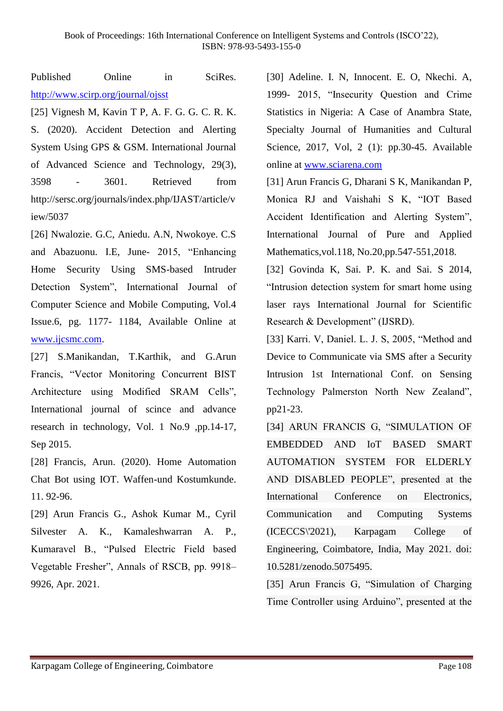Published Online in SciRes. <http://www.scirp.org/journal/ojsst>

[25] Vignesh M, Kavin T P, A. F. G. G. C. R. K. S. (2020). Accident Detection and Alerting System Using GPS & GSM. International Journal of Advanced Science and Technology, 29(3), 3598 - 3601. Retrieved from http://sersc.org/journals/index.php/IJAST/article/v iew/5037

[26] Nwalozie. G.C, Aniedu. A.N, Nwokoye. C.S and Abazuonu. I.E, June- 2015, "Enhancing Home Security Using SMS-based Intruder Detection System", International Journal of Computer Science and Mobile Computing, Vol.4 Issue.6, pg. 1177- 1184, Available Online at [www.ijcsmc.com.](http://www.ijcsmc.com/)

[27] S.Manikandan, T.Karthik, and G.Arun Francis, "Vector Monitoring Concurrent BIST Architecture using Modified SRAM Cells", International journal of scince and advance research in technology, Vol. 1 No.9 ,pp.14-17, Sep 2015.

[28] Francis, Arun. (2020). Home Automation Chat Bot using IOT. Waffen-und Kostumkunde. 11. 92-96.

[29] Arun Francis G., Ashok Kumar M., Cyril Silvester A. K., Kamaleshwarran A. P., Kumaravel B., "Pulsed Electric Field based Vegetable Fresher", Annals of RSCB, pp. 9918– 9926, Apr. 2021.

[30] Adeline. I. N, Innocent. E. O, Nkechi. A, 1999- 2015, "Insecurity Question and Crime Statistics in Nigeria: A Case of Anambra State, Specialty Journal of Humanities and Cultural Science, 2017, Vol, 2 (1): pp.30-45. Available online at [www.sciarena.com](http://www.sciarena.com/)

[31] Arun Francis G, Dharani S K, Manikandan P, Monica RJ and Vaishahi S K, "IOT Based Accident Identification and Alerting System", International Journal of Pure and Applied Mathematics,vol.118, No.20,pp.547-551,2018.

[32] Govinda K, Sai. P. K. and Sai. S 2014, "Intrusion detection system for smart home using laser rays International Journal for Scientific Research & Development" (IJSRD).

[33] Karri. V, Daniel. L. J. S, 2005, "Method and Device to Communicate via SMS after a Security Intrusion 1st International Conf. on Sensing Technology Palmerston North New Zealand", pp21-23.

[34] ARUN FRANCIS G, "SIMULATION OF EMBEDDED AND IoT BASED SMART AUTOMATION SYSTEM FOR ELDERLY AND DISABLED PEOPLE", presented at the International Conference on Electronics, Communication and Computing Systems (ICECCS\'2021), Karpagam College of Engineering, Coimbatore, India, May 2021. doi: 10.5281/zenodo.5075495.

[35] Arun Francis G, "Simulation of Charging Time Controller using Arduino", presented at the